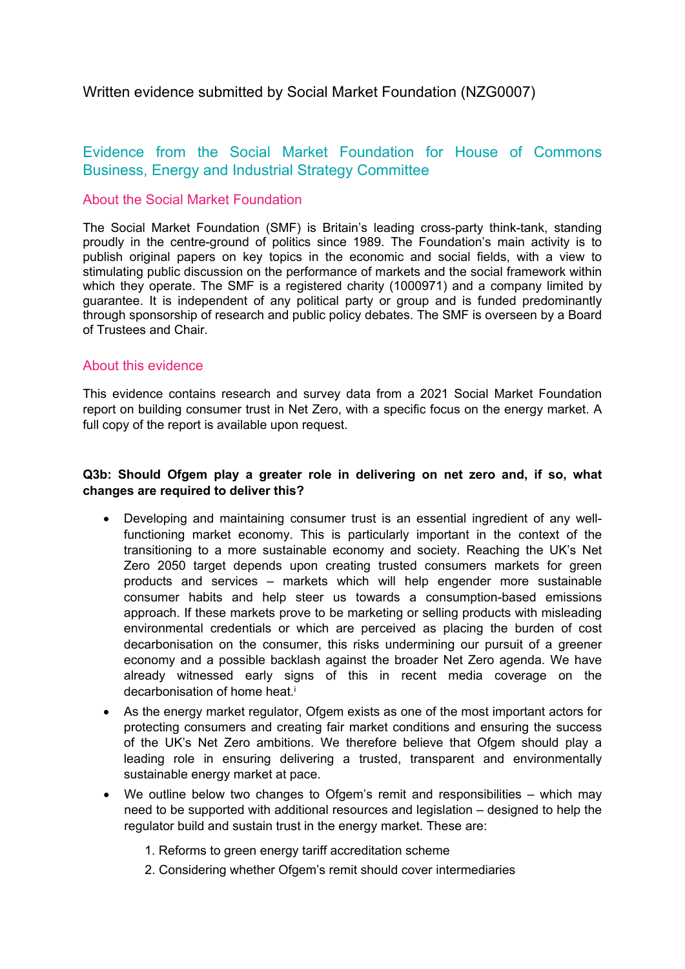## Written evidence submitted by Social Market Foundation (NZG0007)

# Evidence from the Social Market Foundation for House of Commons Business, Energy and Industrial Strategy Committee

## About the Social Market Foundation

The Social Market Foundation (SMF) is Britain's leading cross-party think-tank, standing proudly in the centre-ground of politics since 1989. The Foundation's main activity is to publish original papers on key topics in the economic and social fields, with a view to stimulating public discussion on the performance of markets and the social framework within which they operate. The SMF is a registered charity (1000971) and a company limited by guarantee. It is independent of any political party or group and is funded predominantly through sponsorship of research and public policy debates. The SMF is overseen by a Board of Trustees and Chair.

## About this evidence

This evidence contains research and survey data from a 2021 Social Market Foundation report on building consumer trust in Net Zero, with a specific focus on the energy market. A full copy of the report is available upon request.

#### **Q3b: Should Ofgem play a greater role in delivering on net zero and, if so, what changes are required to deliver this?**

- Developing and maintaining consumer trust is an essential ingredient of any wellfunctioning market economy. This is particularly important in the context of the transitioning to a more sustainable economy and society. Reaching the UK's Net Zero 2050 target depends upon creating trusted consumers markets for green products and services – markets which will help engender more sustainable consumer habits and help steer us towards a consumption-based emissions approach. If these markets prove to be marketing or selling products with misleading environmental credentials or which are perceived as placing the burden of cost decarbonisation on the consumer, this risks undermining our pursuit of a greener economy and a possible backlash against the broader Net Zero agenda. We have already witnessed early signs of this in recent media coverage on the decarbonisation of home heat.<sup>i</sup>
- As the energy market regulator, Ofgem exists as one of the most important actors for protecting consumers and creating fair market conditions and ensuring the success of the UK's Net Zero ambitions. We therefore believe that Ofgem should play a leading role in ensuring delivering a trusted, transparent and environmentally sustainable energy market at pace.
- We outline below two changes to Ofgem's remit and responsibilities which may need to be supported with additional resources and legislation – designed to help the regulator build and sustain trust in the energy market. These are:
	- 1. Reforms to green energy tariff accreditation scheme
	- 2. Considering whether Ofgem's remit should cover intermediaries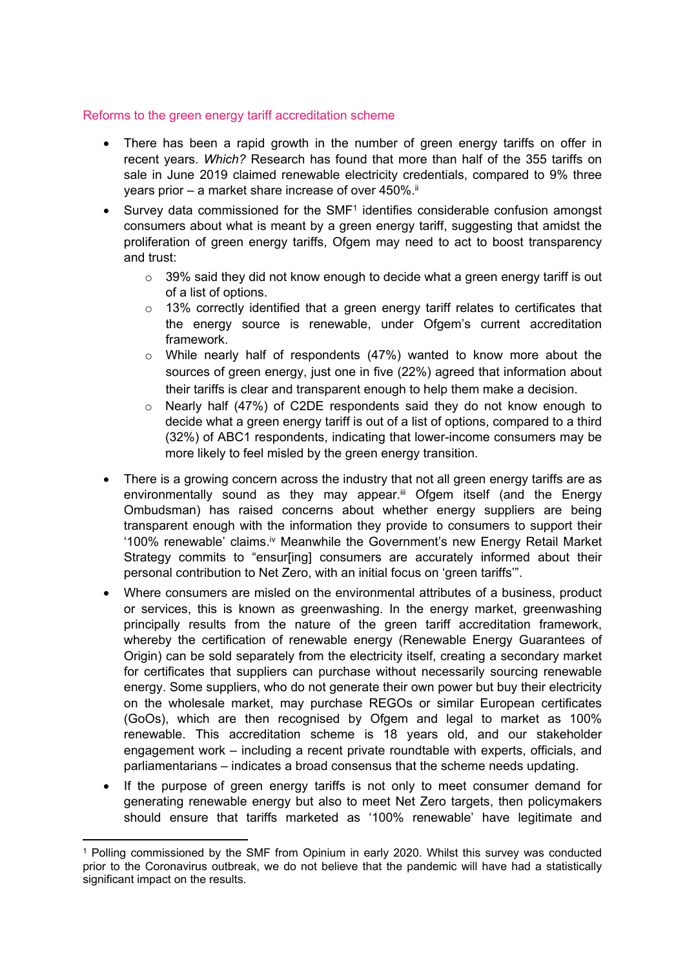#### Reforms to the green energy tariff accreditation scheme

- There has been a rapid growth in the number of green energy tariffs on offer in recent years. *Which?* Research has found that more than half of the 355 tariffs on sale in June 2019 claimed renewable electricity credentials, compared to 9% three years prior – a market share increase of over  $450\%$ .<sup>ii</sup>
- Survey data commissioned for the SMF<sup>1</sup> identifies considerable confusion amongst consumers about what is meant by a green energy tariff, suggesting that amidst the proliferation of green energy tariffs, Ofgem may need to act to boost transparency and trust:
	- $\circ$  39% said they did not know enough to decide what a green energy tariff is out of a list of options.
	- o 13% correctly identified that a green energy tariff relates to certificates that the energy source is renewable, under Ofgem's current accreditation framework.
	- o While nearly half of respondents (47%) wanted to know more about the sources of green energy, just one in five (22%) agreed that information about their tariffs is clear and transparent enough to help them make a decision.
	- $\circ$  Nearly half (47%) of C2DE respondents said they do not know enough to decide what a green energy tariff is out of a list of options, compared to a third (32%) of ABC1 respondents, indicating that lower-income consumers may be more likely to feel misled by the green energy transition.
- There is a growing concern across the industry that not all green energy tariffs are as environmentally sound as they may appear.iii Ofgem itself (and the Energy Ombudsman) has raised concerns about whether energy suppliers are being transparent enough with the information they provide to consumers to support their '100% renewable' claims.iv Meanwhile the Government's new Energy Retail Market Strategy commits to "ensur[ing] consumers are accurately informed about their personal contribution to Net Zero, with an initial focus on 'green tariffs'".
- Where consumers are misled on the environmental attributes of a business, product or services, this is known as greenwashing. In the energy market, greenwashing principally results from the nature of the green tariff accreditation framework, whereby the certification of renewable energy (Renewable Energy Guarantees of Origin) can be sold separately from the electricity itself, creating a secondary market for certificates that suppliers can purchase without necessarily sourcing renewable energy. Some suppliers, who do not generate their own power but buy their electricity on the wholesale market, may purchase REGOs or similar European certificates (GoOs), which are then recognised by Ofgem and legal to market as 100% renewable. This accreditation scheme is 18 years old, and our stakeholder engagement work – including a recent private roundtable with experts, officials, and parliamentarians – indicates a broad consensus that the scheme needs updating.
- If the purpose of green energy tariffs is not only to meet consumer demand for generating renewable energy but also to meet Net Zero targets, then policymakers should ensure that tariffs marketed as '100% renewable' have legitimate and

<sup>1</sup> Polling commissioned by the SMF from Opinium in early 2020. Whilst this survey was conducted prior to the Coronavirus outbreak, we do not believe that the pandemic will have had a statistically significant impact on the results.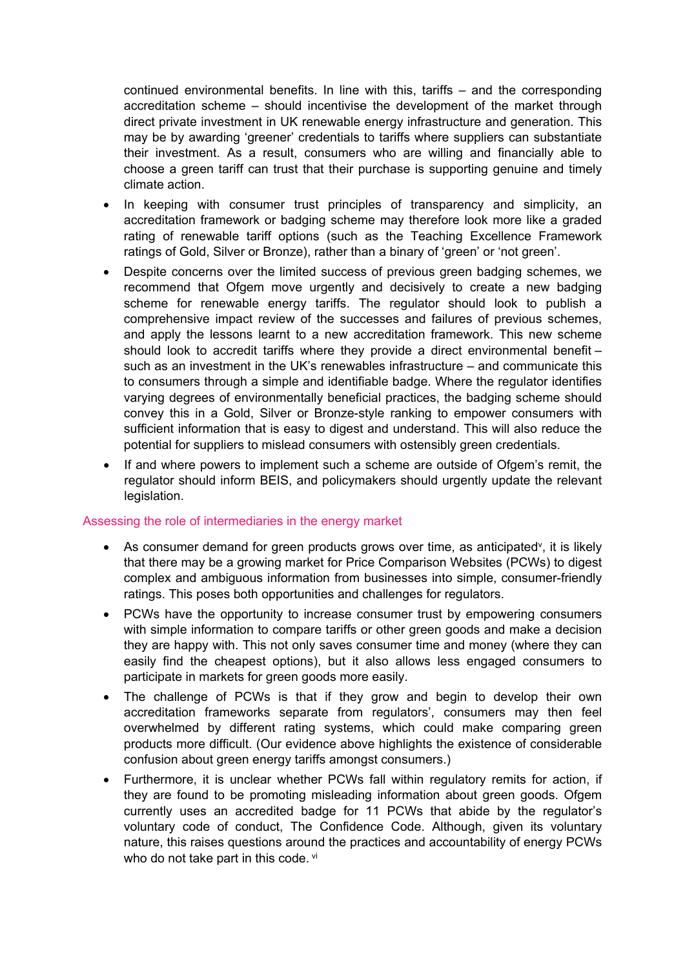continued environmental benefits. In line with this, tariffs – and the corresponding accreditation scheme – should incentivise the development of the market through direct private investment in UK renewable energy infrastructure and generation. This may be by awarding 'greener' credentials to tariffs where suppliers can substantiate their investment. As a result, consumers who are willing and financially able to choose a green tariff can trust that their purchase is supporting genuine and timely climate action.

- In keeping with consumer trust principles of transparency and simplicity, an accreditation framework or badging scheme may therefore look more like a graded rating of renewable tariff options (such as the Teaching Excellence Framework ratings of Gold, Silver or Bronze), rather than a binary of 'green' or 'not green'.
- Despite concerns over the limited success of previous green badging schemes, we recommend that Ofgem move urgently and decisively to create a new badging scheme for renewable energy tariffs. The regulator should look to publish a comprehensive impact review of the successes and failures of previous schemes, and apply the lessons learnt to a new accreditation framework. This new scheme should look to accredit tariffs where they provide a direct environmental benefit – such as an investment in the UK's renewables infrastructure – and communicate this to consumers through a simple and identifiable badge. Where the regulator identifies varying degrees of environmentally beneficial practices, the badging scheme should convey this in a Gold, Silver or Bronze-style ranking to empower consumers with sufficient information that is easy to digest and understand. This will also reduce the potential for suppliers to mislead consumers with ostensibly green credentials.
- If and where powers to implement such a scheme are outside of Ofgem's remit, the regulator should inform BEIS, and policymakers should urgently update the relevant legislation.

#### Assessing the role of intermediaries in the energy market

- As consumer demand for green products grows over time, as anticipated<sup>y</sup>, it is likely that there may be a growing market for Price Comparison Websites (PCWs) to digest complex and ambiguous information from businesses into simple, consumer-friendly ratings. This poses both opportunities and challenges for regulators.
- PCWs have the opportunity to increase consumer trust by empowering consumers with simple information to compare tariffs or other green goods and make a decision they are happy with. This not only saves consumer time and money (where they can easily find the cheapest options), but it also allows less engaged consumers to participate in markets for green goods more easily.
- The challenge of PCWs is that if they grow and begin to develop their own accreditation frameworks separate from regulators', consumers may then feel overwhelmed by different rating systems, which could make comparing green products more difficult. (Our evidence above highlights the existence of considerable confusion about green energy tariffs amongst consumers.)
- Furthermore, it is unclear whether PCWs fall within regulatory remits for action, if they are found to be promoting misleading information about green goods. Ofgem currently uses an accredited badge for 11 PCWs that abide by the regulator's voluntary code of conduct, The Confidence Code. Although, given its voluntary nature, this raises questions around the practices and accountability of energy PCWs who do not take part in this code. vi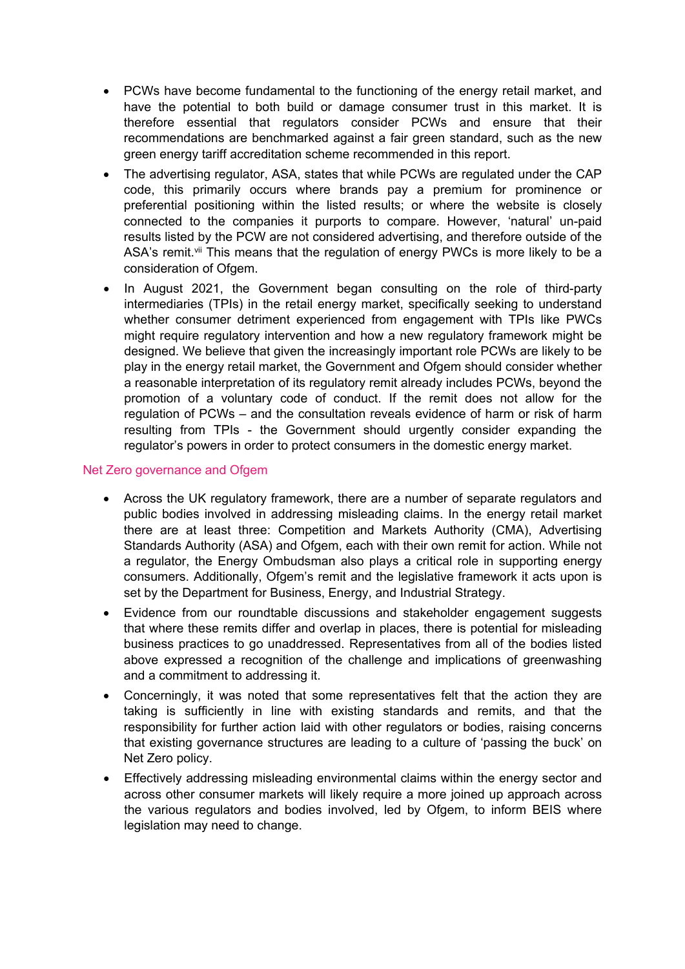- PCWs have become fundamental to the functioning of the energy retail market, and have the potential to both build or damage consumer trust in this market. It is therefore essential that regulators consider PCWs and ensure that their recommendations are benchmarked against a fair green standard, such as the new green energy tariff accreditation scheme recommended in this report.
- The advertising regulator, ASA, states that while PCWs are regulated under the CAP code, this primarily occurs where brands pay a premium for prominence or preferential positioning within the listed results; or where the website is closely connected to the companies it purports to compare. However, 'natural' un-paid results listed by the PCW are not considered advertising, and therefore outside of the ASA's remit.<sup>vii</sup> This means that the regulation of energy PWCs is more likely to be a consideration of Ofgem.
- In August 2021, the Government began consulting on the role of third-party intermediaries (TPIs) in the retail energy market, specifically seeking to understand whether consumer detriment experienced from engagement with TPIs like PWCs might require regulatory intervention and how a new regulatory framework might be designed. We believe that given the increasingly important role PCWs are likely to be play in the energy retail market, the Government and Ofgem should consider whether a reasonable interpretation of its regulatory remit already includes PCWs, beyond the promotion of a voluntary code of conduct. If the remit does not allow for the regulation of PCWs – and the consultation reveals evidence of harm or risk of harm resulting from TPIs - the Government should urgently consider expanding the regulator's powers in order to protect consumers in the domestic energy market.

#### Net Zero governance and Ofgem

- Across the UK regulatory framework, there are a number of separate regulators and public bodies involved in addressing misleading claims. In the energy retail market there are at least three: Competition and Markets Authority (CMA), Advertising Standards Authority (ASA) and Ofgem, each with their own remit for action. While not a regulator, the Energy Ombudsman also plays a critical role in supporting energy consumers. Additionally, Ofgem's remit and the legislative framework it acts upon is set by the Department for Business, Energy, and Industrial Strategy.
- Evidence from our roundtable discussions and stakeholder engagement suggests that where these remits differ and overlap in places, there is potential for misleading business practices to go unaddressed. Representatives from all of the bodies listed above expressed a recognition of the challenge and implications of greenwashing and a commitment to addressing it.
- Concerningly, it was noted that some representatives felt that the action they are taking is sufficiently in line with existing standards and remits, and that the responsibility for further action laid with other regulators or bodies, raising concerns that existing governance structures are leading to a culture of 'passing the buck' on Net Zero policy.
- Effectively addressing misleading environmental claims within the energy sector and across other consumer markets will likely require a more joined up approach across the various regulators and bodies involved, led by Ofgem, to inform BEIS where legislation may need to change.